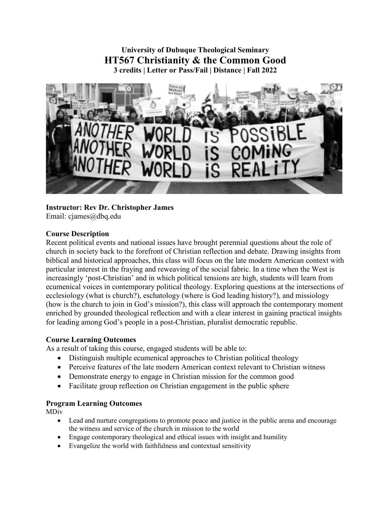# **University of Dubuque Theological Seminary HT567 Christianity & the Common Good 3 credits | Letter or Pass/Fail | Distance | Fall 2022**



# **Instructor: Rev Dr. Christopher James**

Email: cjames@dbq.edu

## **Course Description**

Recent political events and national issues have brought perennial questions about the role of church in society back to the forefront of Christian reflection and debate. Drawing insights from biblical and historical approaches, this class will focus on the late modern American context with particular interest in the fraying and reweaving of the social fabric. In a time when the West is increasingly 'post-Christian' and in which political tensions are high, students will learn from ecumenical voices in contemporary political theology. Exploring questions at the intersections of ecclesiology (what is church?), eschatology (where is God leading history?), and missiology (how is the church to join in God's mission?), this class will approach the contemporary moment enriched by grounded theological reflection and with a clear interest in gaining practical insights for leading among God's people in a post-Christian, pluralist democratic republic.

### **Course Learning Outcomes**

As a result of taking this course, engaged students will be able to:

- Distinguish multiple ecumenical approaches to Christian political theology
- Perceive features of the late modern American context relevant to Christian witness
- Demonstrate energy to engage in Christian mission for the common good
- Facilitate group reflection on Christian engagement in the public sphere

### **Program Learning Outcomes**

MDiv

- Lead and nurture congregations to promote peace and justice in the public arena and encourage the witness and service of the church in mission to the world
- Engage contemporary theological and ethical issues with insight and humility
- Evangelize the world with faithfulness and contextual sensitivity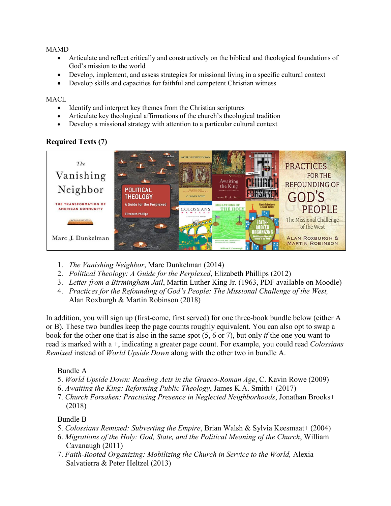### MAMD

- Articulate and reflect critically and constructively on the biblical and theological foundations of God's mission to the world
- Develop, implement, and assess strategies for missional living in a specific cultural context
- Develop skills and capacities for faithful and competent Christian witness

#### **MACL**

- Identify and interpret key themes from the Christian scriptures
- Articulate key theological affirmations of the church's theological tradition
- Develop a missional strategy with attention to a particular cultural context

# **Required Texts (7)**



- 1. *The Vanishing Neighbor*, Marc Dunkelman (2014)
- 2. *Political Theology: A Guide for the Perplexed*, Elizabeth Phillips (2012)
- 3. *Letter from a Birmingham Jail*, Martin Luther King Jr. (1963, PDF available on Moodle)
- 4. *Practices for the Refounding of God's People: The Missional Challenge of the West,* Alan Roxburgh & Martin Robinson (2018)

In addition, you will sign up (first-come, first served) for one three-book bundle below (either A or B). These two bundles keep the page counts roughly equivalent. You can also opt to swap a book for the other one that is also in the same spot (5, 6 or 7), but only *if* the one you want to read is marked with a +, indicating a greater page count. For example, you could read *Colossians Remixed* instead of *World Upside Down* along with the other two in bundle A.

## Bundle A

- 5. *World Upside Down: Reading Acts in the Graeco-Roman Age*, C. Kavin Rowe (2009)
- 6. *Awaiting the King: Reforming Public Theology*, James K.A. Smith+ (2017)
- 7. *Church Forsaken: Practicing Presence in Neglected Neighborhoods*, Jonathan Brooks+ (2018)

## Bundle B

- 5. *Colossians Remixed: Subverting the Empire*, Brian Walsh & Sylvia Keesmaat+ (2004)
- 6. *Migrations of the Holy: God, State, and the Political Meaning of the Church*, William Cavanaugh (2011)
- 7. *Faith-Rooted Organizing: Mobilizing the Church in Service to the World,* Alexia Salvatierra & Peter Heltzel (2013)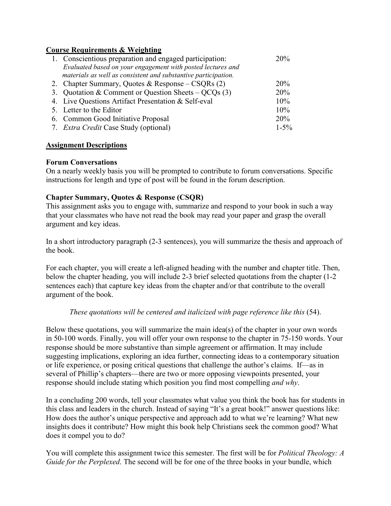### **Course Requirements & Weighting**

| 1. Conscientious preparation and engaged participation:        | 20%       |
|----------------------------------------------------------------|-----------|
| Evaluated based on your engagement with posted lectures and    |           |
| materials as well as consistent and substantive participation. |           |
| 2. Chapter Summary, Quotes & Response – CSQRs $(2)$            | 20%       |
| 3. Quotation & Comment or Question Sheets – $QCQs(3)$          | 20%       |
| 4. Live Questions Artifact Presentation & Self-eval            | 10%       |
| 5. Letter to the Editor                                        | 10%       |
| 6. Common Good Initiative Proposal                             | 20%       |
| 7. Extra Credit Case Study (optional)                          | $1 - 5\%$ |

### **Assignment Descriptions**

### **Forum Conversations**

On a nearly weekly basis you will be prompted to contribute to forum conversations. Specific instructions for length and type of post will be found in the forum description.

## **Chapter Summary, Quotes & Response (CSQR)**

This assignment asks you to engage with, summarize and respond to your book in such a way that your classmates who have not read the book may read your paper and grasp the overall argument and key ideas.

In a short introductory paragraph (2-3 sentences), you will summarize the thesis and approach of the book.

For each chapter, you will create a left-aligned heading with the number and chapter title. Then, below the chapter heading, you will include 2-3 brief selected quotations from the chapter (1-2 sentences each) that capture key ideas from the chapter and/or that contribute to the overall argument of the book.

## *These quotations will be centered and italicized with page reference like this* (54).

Below these quotations, you will summarize the main idea(s) of the chapter in your own words in 50-100 words. Finally, you will offer your own response to the chapter in 75-150 words. Your response should be more substantive than simple agreement or affirmation. It may include suggesting implications, exploring an idea further, connecting ideas to a contemporary situation or life experience, or posing critical questions that challenge the author's claims. If—as in several of Phillip's chapters—there are two or more opposing viewpoints presented, your response should include stating which position you find most compelling *and why*.

In a concluding 200 words, tell your classmates what value you think the book has for students in this class and leaders in the church. Instead of saying "It's a great book!" answer questions like: How does the author's unique perspective and approach add to what we're learning? What new insights does it contribute? How might this book help Christians seek the common good? What does it compel you to do?

You will complete this assignment twice this semester. The first will be for *Political Theology: A Guide for the Perplexed*. The second will be for one of the three books in your bundle, which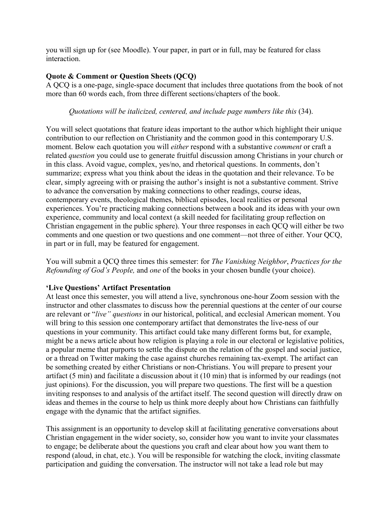you will sign up for (see Moodle). Your paper, in part or in full, may be featured for class interaction.

# **Quote & Comment or Question Sheets (QCQ)**

A QCQ is a one-page, single-space document that includes three quotations from the book of not more than 60 words each, from three different sections/chapters of the book.

*Quotations will be italicized, centered, and include page numbers like this* (34).

You will select quotations that feature ideas important to the author which highlight their unique contribution to our reflection on Christianity and the common good in this contemporary U.S. moment. Below each quotation you will *either* respond with a substantive *comment* or craft a related *question* you could use to generate fruitful discussion among Christians in your church or in this class. Avoid vague, complex, yes/no, and rhetorical questions. In comments, don't summarize; express what you think about the ideas in the quotation and their relevance. To be clear, simply agreeing with or praising the author's insight is not a substantive comment. Strive to advance the conversation by making connections to other readings, course ideas, contemporary events, theological themes, biblical episodes, local realities or personal experiences. You're practicing making connections between a book and its ideas with your own experience, community and local context (a skill needed for facilitating group reflection on Christian engagement in the public sphere). Your three responses in each QCQ will either be two comments and one question or two questions and one comment—not three of either. Your QCQ, in part or in full, may be featured for engagement.

You will submit a QCQ three times this semester: for *The Vanishing Neighbor*, *Practices for the Refounding of God's People,* and *one* of the books in your chosen bundle (your choice).

# **'Live Questions' Artifact Presentation**

At least once this semester, you will attend a live, synchronous one-hour Zoom session with the instructor and other classmates to discuss how the perennial questions at the center of our course are relevant or "*live" questions* in our historical, political, and ecclesial American moment. You will bring to this session one contemporary artifact that demonstrates the live-ness of our questions in your community. This artifact could take many different forms but, for example, might be a news article about how religion is playing a role in our electoral or legislative politics, a popular meme that purports to settle the dispute on the relation of the gospel and social justice, or a thread on Twitter making the case against churches remaining tax-exempt. The artifact can be something created by either Christians or non-Christians. You will prepare to present your artifact (5 min) and facilitate a discussion about it (10 min) that is informed by our readings (not just opinions). For the discussion, you will prepare two questions. The first will be a question inviting responses to and analysis of the artifact itself. The second question will directly draw on ideas and themes in the course to help us think more deeply about how Christians can faithfully engage with the dynamic that the artifact signifies.

This assignment is an opportunity to develop skill at facilitating generative conversations about Christian engagement in the wider society, so, consider how you want to invite your classmates to engage; be deliberate about the questions you craft and clear about how you want them to respond (aloud, in chat, etc.). You will be responsible for watching the clock, inviting classmate participation and guiding the conversation. The instructor will not take a lead role but may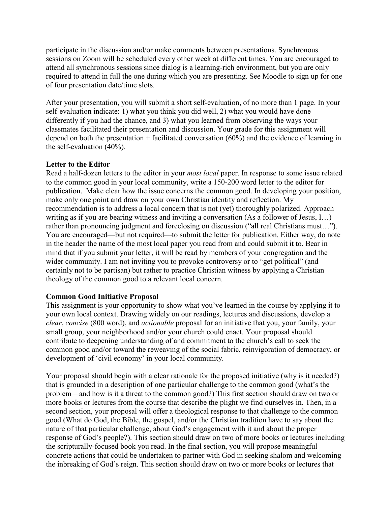participate in the discussion and/or make comments between presentations. Synchronous sessions on Zoom will be scheduled every other week at different times. You are encouraged to attend all synchronous sessions since dialog is a learning-rich environment, but you are only required to attend in full the one during which you are presenting. See Moodle to sign up for one of four presentation date/time slots.

After your presentation, you will submit a short self-evaluation, of no more than 1 page. In your self-evaluation indicate: 1) what you think you did well, 2) what you would have done differently if you had the chance, and 3) what you learned from observing the ways your classmates facilitated their presentation and discussion. Your grade for this assignment will depend on both the presentation + facilitated conversation  $(60\%)$  and the evidence of learning in the self-evaluation (40%).

### **Letter to the Editor**

Read a half-dozen letters to the editor in your *most local* paper. In response to some issue related to the common good in your local community, write a 150-200 word letter to the editor for publication. Make clear how the issue concerns the common good. In developing your position, make only one point and draw on your own Christian identity and reflection. My recommendation is to address a local concern that is not (yet) thoroughly polarized. Approach writing as if you are bearing witness and inviting a conversation (As a follower of Jesus, I…) rather than pronouncing judgment and foreclosing on discussion ("all real Christians must…"). You are encouraged—but not required—to submit the letter for publication. Either way, do note in the header the name of the most local paper you read from and could submit it to. Bear in mind that if you submit your letter, it will be read by members of your congregation and the wider community. I am not inviting you to provoke controversy or to "get political" (and certainly not to be partisan) but rather to practice Christian witness by applying a Christian theology of the common good to a relevant local concern.

## **Common Good Initiative Proposal**

This assignment is your opportunity to show what you've learned in the course by applying it to your own local context. Drawing widely on our readings, lectures and discussions, develop a *clear*, *concise* (800 word), and *actionable* proposal for an initiative that you, your family, your small group, your neighborhood and/or your church could enact. Your proposal should contribute to deepening understanding of and commitment to the church's call to seek the common good and/or toward the reweaving of the social fabric, reinvigoration of democracy, or development of 'civil economy' in your local community.

Your proposal should begin with a clear rationale for the proposed initiative (why is it needed?) that is grounded in a description of one particular challenge to the common good (what's the problem—and how is it a threat to the common good?) This first section should draw on two or more books or lectures from the course that describe the plight we find ourselves in. Then, in a second section, your proposal will offer a theological response to that challenge to the common good (What do God, the Bible, the gospel, and/or the Christian tradition have to say about the nature of that particular challenge, about God's engagement with it and about the proper response of God's people?). This section should draw on two of more books or lectures including the scripturally-focused book you read. In the final section, you will propose meaningful concrete actions that could be undertaken to partner with God in seeking shalom and welcoming the inbreaking of God's reign. This section should draw on two or more books or lectures that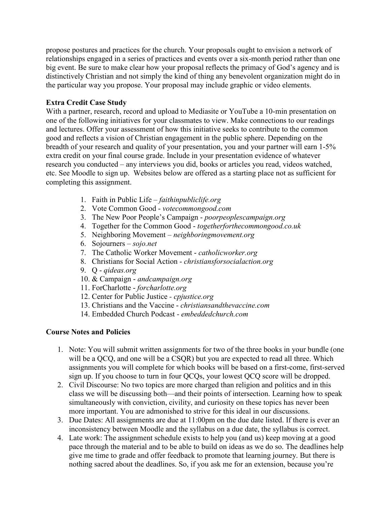propose postures and practices for the church. Your proposals ought to envision a network of relationships engaged in a series of practices and events over a six-month period rather than one big event. Be sure to make clear how your proposal reflects the primacy of God's agency and is distinctively Christian and not simply the kind of thing any benevolent organization might do in the particular way you propose. Your proposal may include graphic or video elements.

## **Extra Credit Case Study**

With a partner, research, record and upload to Mediasite or YouTube a 10-min presentation on one of the following initiatives for your classmates to view. Make connections to our readings and lectures. Offer your assessment of how this initiative seeks to contribute to the common good and reflects a vision of Christian engagement in the public sphere. Depending on the breadth of your research and quality of your presentation, you and your partner will earn 1-5% extra credit on your final course grade. Include in your presentation evidence of whatever research you conducted – any interviews you did, books or articles you read, videos watched, etc. See Moodle to sign up. Websites below are offered as a starting place not as sufficient for completing this assignment.

- 1. Faith in Public Life *faithinpubliclife.org*
- 2. Vote Common Good *votecommongood.com*
- 3. The New Poor People's Campaign *poorpeoplescampaign.org*
- 4. Together for the Common Good *togetherforthecommongood.co.uk*
- 5. Neighboring Movement *neighboringmovement.org*
- 6. Sojourners *sojo.net*
- 7. The Catholic Worker Movement *catholicworker.org*
- 8. Christians for Social Action *christiansforsocialaction.org*
- 9. Q *qideas.org*
- 10. & Campaign *andcampaign.org*
- 11. ForCharlotte *forcharlotte.org*
- 12. Center for Public Justice *- cpjustice.org*
- 13. Christians and the Vaccine *christiansandthevaccine.com*
- 14. Embedded Church Podcast *- embeddedchurch.com*

## **Course Notes and Policies**

- 1. Note: You will submit written assignments for two of the three books in your bundle (one will be a QCQ, and one will be a CSQR) but you are expected to read all three. Which assignments you will complete for which books will be based on a first-come, first-served sign up. If you choose to turn in four QCQs, your lowest QCQ score will be dropped.
- 2. Civil Discourse: No two topics are more charged than religion and politics and in this class we will be discussing both—and their points of intersection. Learning how to speak simultaneously with conviction, civility, and curiosity on these topics has never been more important. You are admonished to strive for this ideal in our discussions.
- 3. Due Dates: All assignments are due at 11:00pm on the due date listed. If there is ever an inconsistency between Moodle and the syllabus on a due date, the syllabus is correct.
- 4. Late work: The assignment schedule exists to help you (and us) keep moving at a good pace through the material and to be able to build on ideas as we do so. The deadlines help give me time to grade and offer feedback to promote that learning journey. But there is nothing sacred about the deadlines. So, if you ask me for an extension, because you're